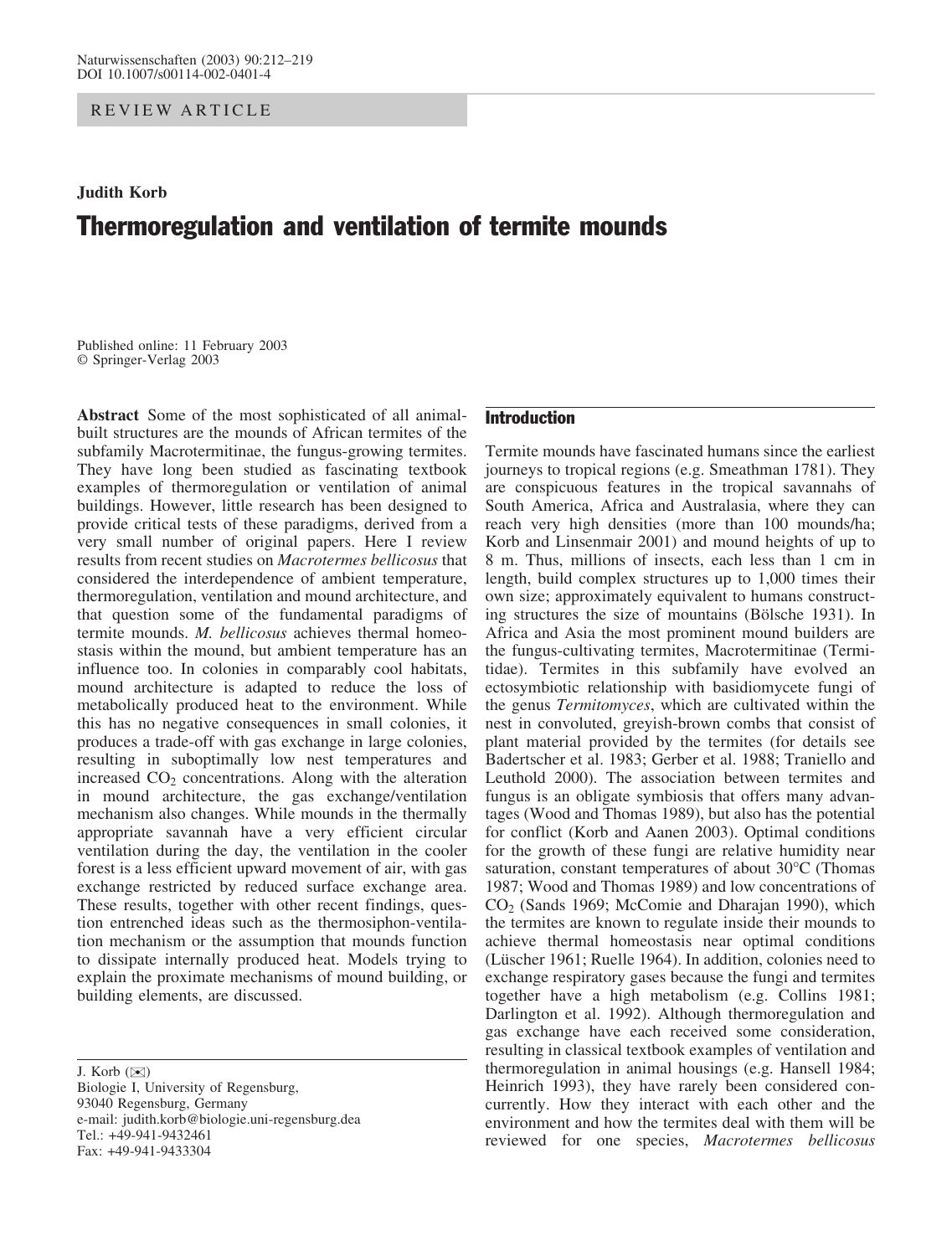REVIEW ARTICLE

# Judith Korb Thermoregulation and ventilation of termite mounds

Published online: 11 February 2003 Springer-Verlag 2003

Abstract Some of the most sophisticated of all animalbuilt structures are the mounds of African termites of the subfamily Macrotermitinae, the fungus-growing termites. They have long been studied as fascinating textbook examples of thermoregulation or ventilation of animal buildings. However, little research has been designed to provide critical tests of these paradigms, derived from a very small number of original papers. Here I review results from recent studies on Macrotermes bellicosus that considered the interdependence of ambient temperature, thermoregulation, ventilation and mound architecture, and that question some of the fundamental paradigms of termite mounds. M. bellicosus achieves thermal homeostasis within the mound, but ambient temperature has an influence too. In colonies in comparably cool habitats, mound architecture is adapted to reduce the loss of metabolically produced heat to the environment. While this has no negative consequences in small colonies, it produces a trade-off with gas exchange in large colonies, resulting in suboptimally low nest temperatures and increased  $CO<sub>2</sub>$  concentrations. Along with the alteration in mound architecture, the gas exchange/ventilation mechanism also changes. While mounds in the thermally appropriate savannah have a very efficient circular ventilation during the day, the ventilation in the cooler forest is a less efficient upward movement of air, with gas exchange restricted by reduced surface exchange area. These results, together with other recent findings, question entrenched ideas such as the thermosiphon-ventilation mechanism or the assumption that mounds function to dissipate internally produced heat. Models trying to explain the proximate mechanisms of mound building, or building elements, are discussed.

J. Korb (*)*)

Biologie I, University of Regensburg, 93040 Regensburg, Germany e-mail: judith.korb@biologie.uni-regensburg.dea Tel.: +49-941-9432461 Fax: +49-941-9433304

## Introduction

Termite mounds have fascinated humans since the earliest journeys to tropical regions (e.g. Smeathman 1781). They are conspicuous features in the tropical savannahs of South America, Africa and Australasia, where they can reach very high densities (more than 100 mounds/ha; Korb and Linsenmair 2001) and mound heights of up to 8 m. Thus, millions of insects, each less than 1 cm in length, build complex structures up to 1,000 times their own size; approximately equivalent to humans constructing structures the size of mountains (Bölsche 1931). In Africa and Asia the most prominent mound builders are the fungus-cultivating termites, Macrotermitinae (Termitidae). Termites in this subfamily have evolved an ectosymbiotic relationship with basidiomycete fungi of the genus Termitomyces, which are cultivated within the nest in convoluted, greyish-brown combs that consist of plant material provided by the termites (for details see Badertscher et al. 1983; Gerber et al. 1988; Traniello and Leuthold 2000). The association between termites and fungus is an obligate symbiosis that offers many advantages (Wood and Thomas 1989), but also has the potential for conflict (Korb and Aanen 2003). Optimal conditions for the growth of these fungi are relative humidity near saturation, constant temperatures of about  $30^{\circ}$ C (Thomas 1987; Wood and Thomas 1989) and low concentrations of CO2 (Sands 1969; McComie and Dharajan 1990), which the termites are known to regulate inside their mounds to achieve thermal homeostasis near optimal conditions (Lüscher 1961; Ruelle 1964). In addition, colonies need to exchange respiratory gases because the fungi and termites together have a high metabolism (e.g. Collins 1981; Darlington et al. 1992). Although thermoregulation and gas exchange have each received some consideration, resulting in classical textbook examples of ventilation and thermoregulation in animal housings (e.g. Hansell 1984; Heinrich 1993), they have rarely been considered concurrently. How they interact with each other and the environment and how the termites deal with them will be reviewed for one species, Macrotermes bellicosus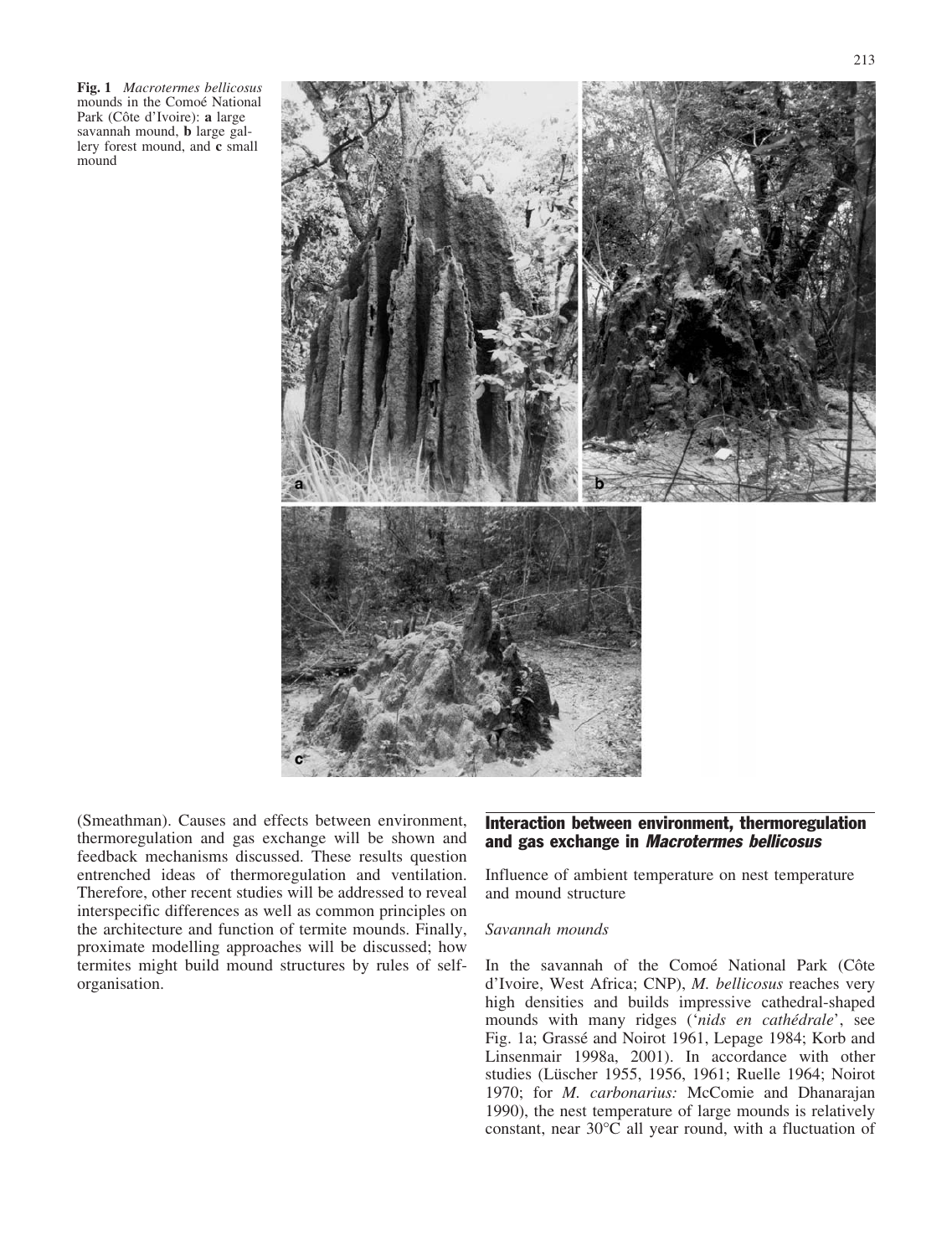Fig. 1 Macrotermes bellicosus mounds in the Comoé National Park (Côte d'Ivoire): a large savannah mound, b large gallery forest mound, and c small mound



(Smeathman). Causes and effects between environment, thermoregulation and gas exchange will be shown and feedback mechanisms discussed. These results question entrenched ideas of thermoregulation and ventilation. Therefore, other recent studies will be addressed to reveal interspecific differences as well as common principles on the architecture and function of termite mounds. Finally, proximate modelling approaches will be discussed; how termites might build mound structures by rules of selforganisation.

## Interaction between environment, thermoregulation and gas exchange in Macrotermes bellicosus

Influence of ambient temperature on nest temperature and mound structure

## Savannah mounds

In the savannah of the Comoé National Park (Côte d'Ivoire, West Africa; CNP), M. bellicosus reaches very high densities and builds impressive cathedral-shaped mounds with many ridges ('nids en cathédrale', see Fig. 1a; Grassé and Noirot 1961, Lepage 1984; Korb and Linsenmair 1998a, 2001). In accordance with other studies (Lüscher 1955, 1956, 1961; Ruelle 1964; Noirot 1970; for M. carbonarius: McComie and Dhanarajan 1990), the nest temperature of large mounds is relatively constant, near  $30^{\circ}$ C all year round, with a fluctuation of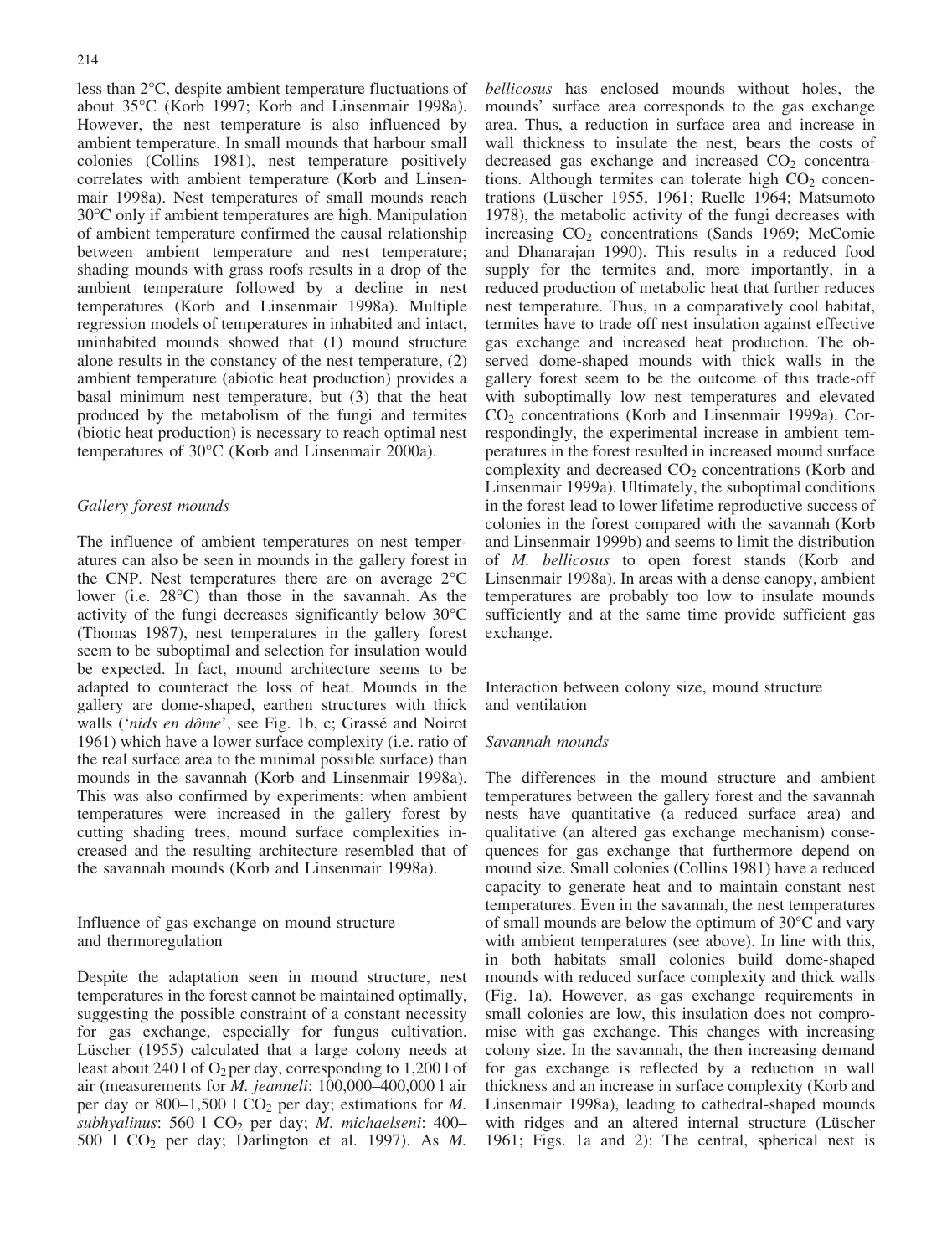less than  $2^{\circ}$ C, despite ambient temperature fluctuations of about 35°C (Korb 1997; Korb and Linsenmair 1998a). However, the nest temperature is also influenced by ambient temperature. In small mounds that harbour small colonies (Collins 1981), nest temperature positively correlates with ambient temperature (Korb and Linsenmair 1998a). Nest temperatures of small mounds reach 30°C only if ambient temperatures are high. Manipulation of ambient temperature confirmed the causal relationship between ambient temperature and nest temperature; shading mounds with grass roofs results in a drop of the ambient temperature followed by a decline in nest temperatures (Korb and Linsenmair 1998a). Multiple regression models of temperatures in inhabited and intact, uninhabited mounds showed that (1) mound structure alone results in the constancy of the nest temperature, (2) ambient temperature (abiotic heat production) provides a basal minimum nest temperature, but (3) that the heat produced by the metabolism of the fungi and termites (biotic heat production) is necessary to reach optimal nest temperatures of 30°C (Korb and Linsenmair 2000a).

#### Gallery forest mounds

The influence of ambient temperatures on nest temperatures can also be seen in mounds in the gallery forest in the CNP. Nest temperatures there are on average  $2^{\circ}$ C lower (i.e.  $28^{\circ}$ C) than those in the savannah. As the activity of the fungi decreases significantly below  $30^{\circ}$ C (Thomas 1987), nest temperatures in the gallery forest seem to be suboptimal and selection for insulation would be expected. In fact, mound architecture seems to be adapted to counteract the loss of heat. Mounds in the gallery are dome-shaped, earthen structures with thick walls ('nids en dôme', see Fig. 1b, c; Grassé and Noirot 1961) which have a lower surface complexity (i.e. ratio of the real surface area to the minimal possible surface) than mounds in the savannah (Korb and Linsenmair 1998a). This was also confirmed by experiments: when ambient temperatures were increased in the gallery forest by cutting shading trees, mound surface complexities increased and the resulting architecture resembled that of the savannah mounds (Korb and Linsenmair 1998a).

Influence of gas exchange on mound structure and thermoregulation

Despite the adaptation seen in mound structure, nest temperatures in the forest cannot be maintained optimally, suggesting the possible constraint of a constant necessity for gas exchange, especially for fungus cultivation. Lüscher (1955) calculated that a large colony needs at least about 240 l of  $O_2$  per day, corresponding to 1,200 l of air (measurements for M. jeanneli: 100,000–400,000 l air per day or 800–1,500 l  $CO<sub>2</sub>$  per day; estimations for M. subhyalinus: 560  $1 \text{ CO}_2$  per day; M. michaelseni: 400-500  $1 \text{ CO}_2$  per day; Darlington et al. 1997). As M.

bellicosus has enclosed mounds without holes, the mounds' surface area corresponds to the gas exchange area. Thus, a reduction in surface area and increase in wall thickness to insulate the nest, bears the costs of decreased gas exchange and increased  $CO<sub>2</sub>$  concentrations. Although termites can tolerate high  $CO<sub>2</sub>$  concentrations (Lüscher 1955, 1961; Ruelle 1964; Matsumoto 1978), the metabolic activity of the fungi decreases with increasing  $CO<sub>2</sub>$  concentrations (Sands 1969; McComie and Dhanarajan 1990). This results in a reduced food supply for the termites and, more importantly, in a reduced production of metabolic heat that further reduces nest temperature. Thus, in a comparatively cool habitat, termites have to trade off nest insulation against effective gas exchange and increased heat production. The observed dome-shaped mounds with thick walls in the gallery forest seem to be the outcome of this trade-off with suboptimally low nest temperatures and elevated  $CO<sub>2</sub>$  concentrations (Korb and Linsenmair 1999a). Correspondingly, the experimental increase in ambient temperatures in the forest resulted in increased mound surface complexity and decreased  $CO<sub>2</sub>$  concentrations (Korb and Linsenmair 1999a). Ultimately, the suboptimal conditions in the forest lead to lower lifetime reproductive success of colonies in the forest compared with the savannah (Korb and Linsenmair 1999b) and seems to limit the distribution of M. bellicosus to open forest stands (Korb and Linsenmair 1998a). In areas with a dense canopy, ambient temperatures are probably too low to insulate mounds sufficiently and at the same time provide sufficient gas exchange.

Interaction between colony size, mound structure and ventilation

#### Savannah mounds

The differences in the mound structure and ambient temperatures between the gallery forest and the savannah nests have quantitative (a reduced surface area) and qualitative (an altered gas exchange mechanism) consequences for gas exchange that furthermore depend on mound size. Small colonies (Collins 1981) have a reduced capacity to generate heat and to maintain constant nest temperatures. Even in the savannah, the nest temperatures of small mounds are below the optimum of  $30^{\circ}$ C and vary with ambient temperatures (see above). In line with this, in both habitats small colonies build dome-shaped mounds with reduced surface complexity and thick walls (Fig. 1a). However, as gas exchange requirements in small colonies are low, this insulation does not compromise with gas exchange. This changes with increasing colony size. In the savannah, the then increasing demand for gas exchange is reflected by a reduction in wall thickness and an increase in surface complexity (Korb and Linsenmair 1998a), leading to cathedral-shaped mounds with ridges and an altered internal structure (Lüscher 1961; Figs. 1a and 2): The central, spherical nest is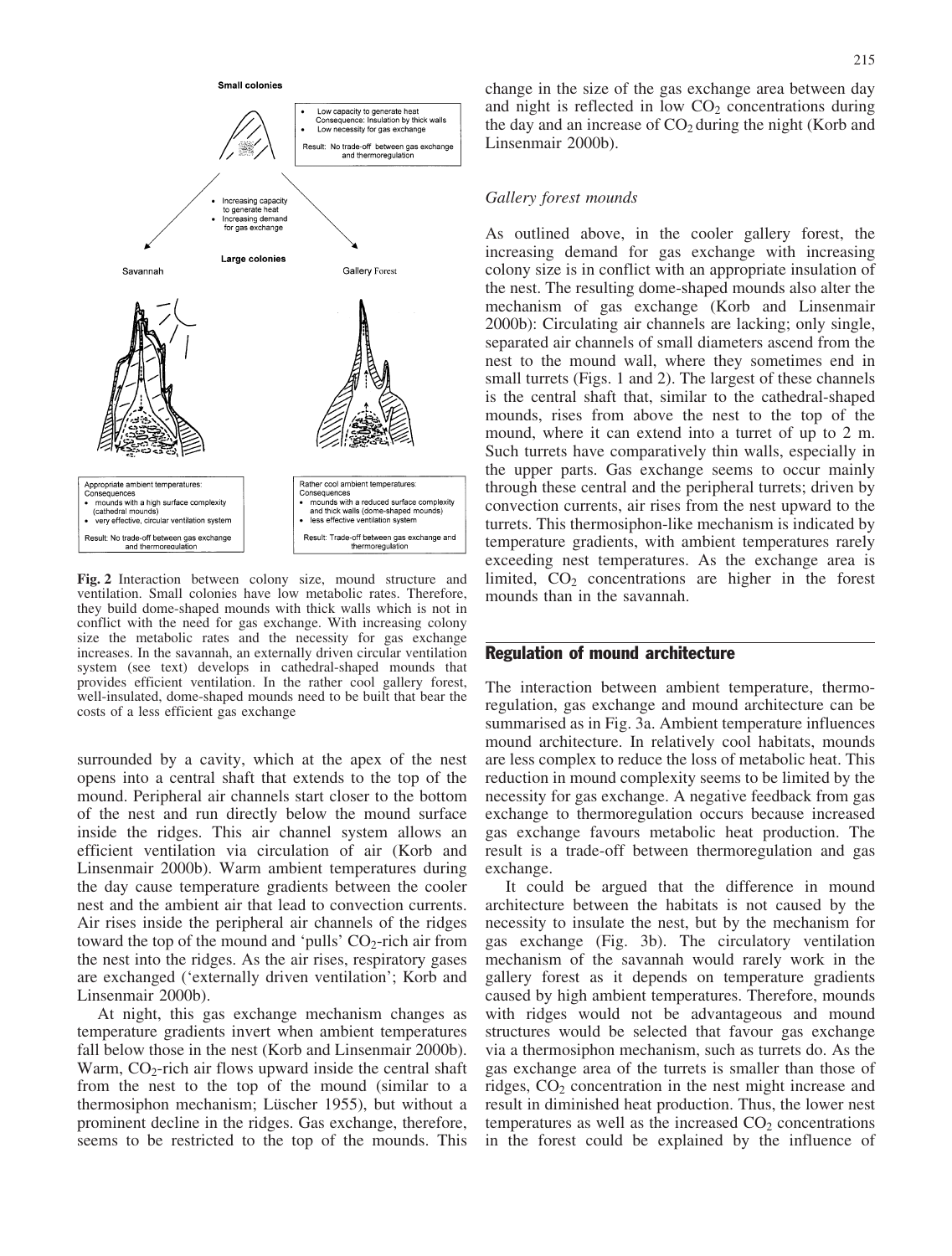

Fig. 2 Interaction between colony size, mound structure and ventilation. Small colonies have low metabolic rates. Therefore, they build dome-shaped mounds with thick walls which is not in conflict with the need for gas exchange. With increasing colony size the metabolic rates and the necessity for gas exchange increases. In the savannah, an externally driven circular ventilation system (see text) develops in cathedral-shaped mounds that provides efficient ventilation. In the rather cool gallery forest, well-insulated, dome-shaped mounds need to be built that bear the costs of a less efficient gas exchange

surrounded by a cavity, which at the apex of the nest opens into a central shaft that extends to the top of the mound. Peripheral air channels start closer to the bottom of the nest and run directly below the mound surface inside the ridges. This air channel system allows an efficient ventilation via circulation of air (Korb and Linsenmair 2000b). Warm ambient temperatures during the day cause temperature gradients between the cooler nest and the ambient air that lead to convection currents. Air rises inside the peripheral air channels of the ridges toward the top of the mound and 'pulls'  $CO_2$ -rich air from the nest into the ridges. As the air rises, respiratory gases are exchanged ('externally driven ventilation'; Korb and Linsenmair 2000b).

At night, this gas exchange mechanism changes as temperature gradients invert when ambient temperatures fall below those in the nest (Korb and Linsenmair 2000b). Warm,  $CO<sub>2</sub>$ -rich air flows upward inside the central shaft from the nest to the top of the mound (similar to a thermosiphon mechanism; Lüscher 1955), but without a prominent decline in the ridges. Gas exchange, therefore, seems to be restricted to the top of the mounds. This change in the size of the gas exchange area between day and night is reflected in low  $CO<sub>2</sub>$  concentrations during the day and an increase of  $CO<sub>2</sub>$  during the night (Korb and Linsenmair 2000b).

#### Gallery forest mounds

As outlined above, in the cooler gallery forest, the increasing demand for gas exchange with increasing colony size is in conflict with an appropriate insulation of the nest. The resulting dome-shaped mounds also alter the mechanism of gas exchange (Korb and Linsenmair 2000b): Circulating air channels are lacking; only single, separated air channels of small diameters ascend from the nest to the mound wall, where they sometimes end in small turrets (Figs. 1 and 2). The largest of these channels is the central shaft that, similar to the cathedral-shaped mounds, rises from above the nest to the top of the mound, where it can extend into a turret of up to 2 m. Such turrets have comparatively thin walls, especially in the upper parts. Gas exchange seems to occur mainly through these central and the peripheral turrets; driven by convection currents, air rises from the nest upward to the turrets. This thermosiphon-like mechanism is indicated by temperature gradients, with ambient temperatures rarely exceeding nest temperatures. As the exchange area is limited,  $CO<sub>2</sub>$  concentrations are higher in the forest mounds than in the savannah.

#### Regulation of mound architecture

The interaction between ambient temperature, thermoregulation, gas exchange and mound architecture can be summarised as in Fig. 3a. Ambient temperature influences mound architecture. In relatively cool habitats, mounds are less complex to reduce the loss of metabolic heat. This reduction in mound complexity seems to be limited by the necessity for gas exchange. A negative feedback from gas exchange to thermoregulation occurs because increased gas exchange favours metabolic heat production. The result is a trade-off between thermoregulation and gas exchange.

It could be argued that the difference in mound architecture between the habitats is not caused by the necessity to insulate the nest, but by the mechanism for gas exchange (Fig. 3b). The circulatory ventilation mechanism of the savannah would rarely work in the gallery forest as it depends on temperature gradients caused by high ambient temperatures. Therefore, mounds with ridges would not be advantageous and mound structures would be selected that favour gas exchange via a thermosiphon mechanism, such as turrets do. As the gas exchange area of the turrets is smaller than those of ridges,  $CO<sub>2</sub>$  concentration in the nest might increase and result in diminished heat production. Thus, the lower nest temperatures as well as the increased  $CO<sub>2</sub>$  concentrations in the forest could be explained by the influence of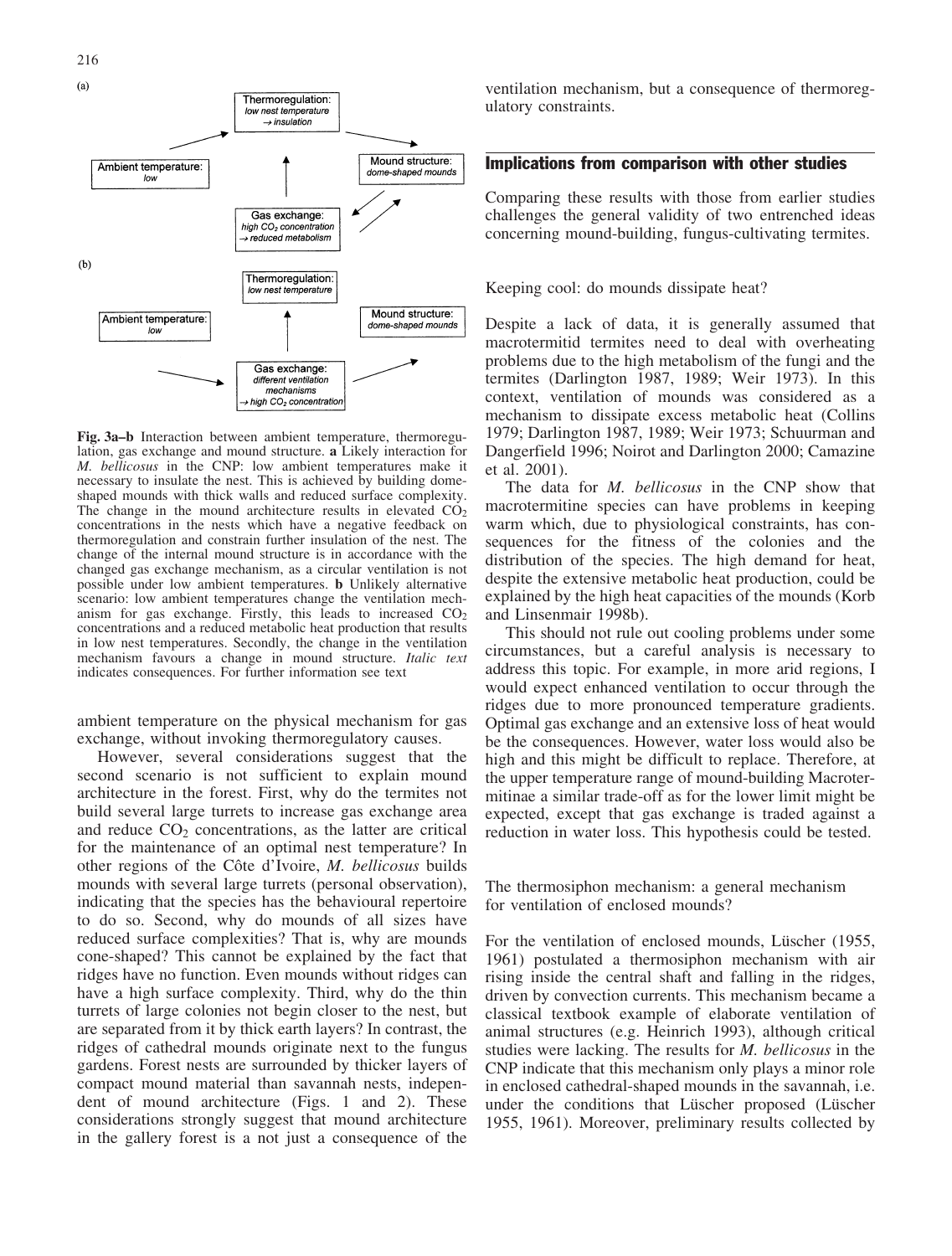

Fig. 3a–b Interaction between ambient temperature, thermoregulation, gas exchange and mound structure. a Likely interaction for M. bellicosus in the CNP: low ambient temperatures make it necessary to insulate the nest. This is achieved by building domeshaped mounds with thick walls and reduced surface complexity. The change in the mound architecture results in elevated  $CO<sub>2</sub>$ concentrations in the nests which have a negative feedback on thermoregulation and constrain further insulation of the nest. The change of the internal mound structure is in accordance with the changed gas exchange mechanism, as a circular ventilation is not possible under low ambient temperatures. b Unlikely alternative scenario: low ambient temperatures change the ventilation mechanism for gas exchange. Firstly, this leads to increased  $CO<sub>2</sub>$ concentrations and a reduced metabolic heat production that results in low nest temperatures. Secondly, the change in the ventilation mechanism favours a change in mound structure. Italic text indicates consequences. For further information see text

ambient temperature on the physical mechanism for gas exchange, without invoking thermoregulatory causes.

However, several considerations suggest that the second scenario is not sufficient to explain mound architecture in the forest. First, why do the termites not build several large turrets to increase gas exchange area and reduce  $CO<sub>2</sub>$  concentrations, as the latter are critical for the maintenance of an optimal nest temperature? In other regions of the Côte d'Ivoire, M. bellicosus builds mounds with several large turrets (personal observation), indicating that the species has the behavioural repertoire to do so. Second, why do mounds of all sizes have reduced surface complexities? That is, why are mounds cone-shaped? This cannot be explained by the fact that ridges have no function. Even mounds without ridges can have a high surface complexity. Third, why do the thin turrets of large colonies not begin closer to the nest, but are separated from it by thick earth layers? In contrast, the ridges of cathedral mounds originate next to the fungus gardens. Forest nests are surrounded by thicker layers of compact mound material than savannah nests, independent of mound architecture (Figs. 1 and 2). These considerations strongly suggest that mound architecture in the gallery forest is a not just a consequence of the ventilation mechanism, but a consequence of thermoregulatory constraints.

#### Implications from comparison with other studies

Comparing these results with those from earlier studies challenges the general validity of two entrenched ideas concerning mound-building, fungus-cultivating termites.

Keeping cool: do mounds dissipate heat?

Despite a lack of data, it is generally assumed that macrotermitid termites need to deal with overheating problems due to the high metabolism of the fungi and the termites (Darlington 1987, 1989; Weir 1973). In this context, ventilation of mounds was considered as a mechanism to dissipate excess metabolic heat (Collins 1979; Darlington 1987, 1989; Weir 1973; Schuurman and Dangerfield 1996; Noirot and Darlington 2000; Camazine et al. 2001).

The data for *M. bellicosus* in the CNP show that macrotermitine species can have problems in keeping warm which, due to physiological constraints, has consequences for the fitness of the colonies and the distribution of the species. The high demand for heat, despite the extensive metabolic heat production, could be explained by the high heat capacities of the mounds (Korb and Linsenmair 1998b).

This should not rule out cooling problems under some circumstances, but a careful analysis is necessary to address this topic. For example, in more arid regions, I would expect enhanced ventilation to occur through the ridges due to more pronounced temperature gradients. Optimal gas exchange and an extensive loss of heat would be the consequences. However, water loss would also be high and this might be difficult to replace. Therefore, at the upper temperature range of mound-building Macrotermitinae a similar trade-off as for the lower limit might be expected, except that gas exchange is traded against a reduction in water loss. This hypothesis could be tested.

The thermosiphon mechanism: a general mechanism for ventilation of enclosed mounds?

For the ventilation of enclosed mounds, Lüscher (1955, 1961) postulated a thermosiphon mechanism with air rising inside the central shaft and falling in the ridges, driven by convection currents. This mechanism became a classical textbook example of elaborate ventilation of animal structures (e.g. Heinrich 1993), although critical studies were lacking. The results for M. bellicosus in the CNP indicate that this mechanism only plays a minor role in enclosed cathedral-shaped mounds in the savannah, i.e. under the conditions that Lüscher proposed (Lüscher 1955, 1961). Moreover, preliminary results collected by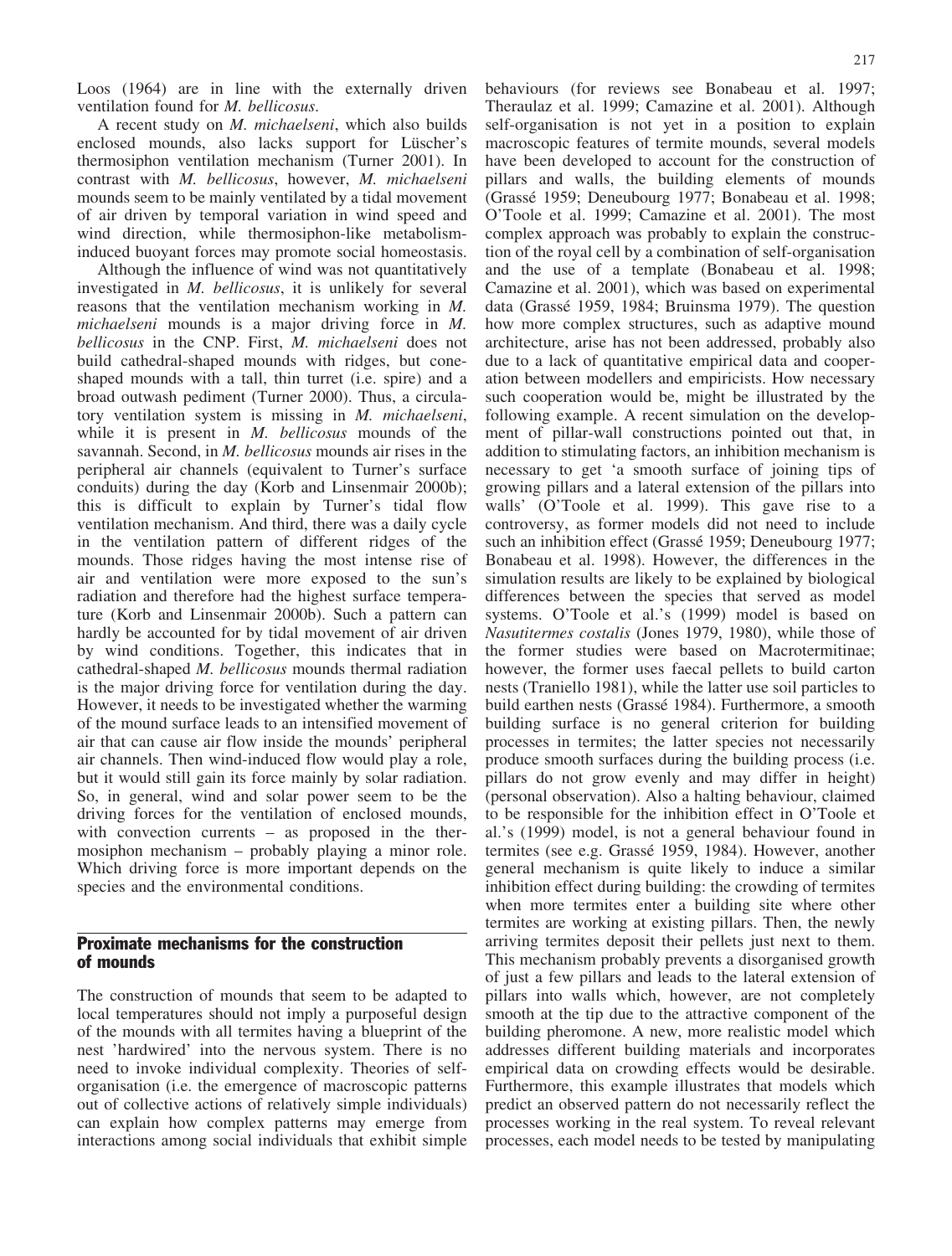Loos (1964) are in line with the externally driven ventilation found for M. bellicosus.

A recent study on M. michaelseni, which also builds enclosed mounds, also lacks support for Lüscher's thermosiphon ventilation mechanism (Turner 2001). In contrast with M. bellicosus, however, M. michaelseni mounds seem to be mainly ventilated by a tidal movement of air driven by temporal variation in wind speed and wind direction, while thermosiphon-like metabolisminduced buoyant forces may promote social homeostasis.

Although the influence of wind was not quantitatively investigated in M. bellicosus, it is unlikely for several reasons that the ventilation mechanism working in M. michaelseni mounds is a major driving force in M. bellicosus in the CNP. First, M. michaelseni does not build cathedral-shaped mounds with ridges, but coneshaped mounds with a tall, thin turret (i.e. spire) and a broad outwash pediment (Turner 2000). Thus, a circulatory ventilation system is missing in M. michaelseni, while it is present in *M. bellicosus* mounds of the savannah. Second, in *M. bellicosus* mounds air rises in the peripheral air channels (equivalent to Turner's surface conduits) during the day (Korb and Linsenmair 2000b); this is difficult to explain by Turner's tidal flow ventilation mechanism. And third, there was a daily cycle in the ventilation pattern of different ridges of the mounds. Those ridges having the most intense rise of air and ventilation were more exposed to the sun's radiation and therefore had the highest surface temperature (Korb and Linsenmair 2000b). Such a pattern can hardly be accounted for by tidal movement of air driven by wind conditions. Together, this indicates that in cathedral-shaped M. bellicosus mounds thermal radiation is the major driving force for ventilation during the day. However, it needs to be investigated whether the warming of the mound surface leads to an intensified movement of air that can cause air flow inside the mounds' peripheral air channels. Then wind-induced flow would play a role, but it would still gain its force mainly by solar radiation. So, in general, wind and solar power seem to be the driving forces for the ventilation of enclosed mounds, with convection currents – as proposed in the thermosiphon mechanism – probably playing a minor role. Which driving force is more important depends on the species and the environmental conditions.

## Proximate mechanisms for the construction of mounds

The construction of mounds that seem to be adapted to local temperatures should not imply a purposeful design of the mounds with all termites having a blueprint of the nest 'hardwired' into the nervous system. There is no need to invoke individual complexity. Theories of selforganisation (i.e. the emergence of macroscopic patterns out of collective actions of relatively simple individuals) can explain how complex patterns may emerge from interactions among social individuals that exhibit simple

behaviours (for reviews see Bonabeau et al. 1997; Theraulaz et al. 1999; Camazine et al. 2001). Although self-organisation is not yet in a position to explain macroscopic features of termite mounds, several models have been developed to account for the construction of pillars and walls, the building elements of mounds (Grassé 1959; Deneubourg 1977; Bonabeau et al. 1998; O'Toole et al. 1999; Camazine et al. 2001). The most complex approach was probably to explain the construction of the royal cell by a combination of self-organisation and the use of a template (Bonabeau et al. 1998; Camazine et al. 2001), which was based on experimental data (Grassé 1959, 1984; Bruinsma 1979). The question how more complex structures, such as adaptive mound architecture, arise has not been addressed, probably also due to a lack of quantitative empirical data and cooperation between modellers and empiricists. How necessary such cooperation would be, might be illustrated by the following example. A recent simulation on the development of pillar-wall constructions pointed out that, in addition to stimulating factors, an inhibition mechanism is necessary to get 'a smooth surface of joining tips of growing pillars and a lateral extension of the pillars into walls' (O'Toole et al. 1999). This gave rise to a controversy, as former models did not need to include such an inhibition effect (Grassé 1959; Deneubourg 1977; Bonabeau et al. 1998). However, the differences in the simulation results are likely to be explained by biological differences between the species that served as model systems. O'Toole et al.'s (1999) model is based on Nasutitermes costalis (Jones 1979, 1980), while those of the former studies were based on Macrotermitinae; however, the former uses faecal pellets to build carton nests (Traniello 1981), while the latter use soil particles to build earthen nests (Grassé 1984). Furthermore, a smooth building surface is no general criterion for building processes in termites; the latter species not necessarily produce smooth surfaces during the building process (i.e. pillars do not grow evenly and may differ in height) (personal observation). Also a halting behaviour, claimed to be responsible for the inhibition effect in O'Toole et al.'s (1999) model, is not a general behaviour found in termites (see e.g. Grassé 1959, 1984). However, another general mechanism is quite likely to induce a similar inhibition effect during building: the crowding of termites when more termites enter a building site where other termites are working at existing pillars. Then, the newly arriving termites deposit their pellets just next to them. This mechanism probably prevents a disorganised growth of just a few pillars and leads to the lateral extension of pillars into walls which, however, are not completely smooth at the tip due to the attractive component of the building pheromone. A new, more realistic model which addresses different building materials and incorporates empirical data on crowding effects would be desirable. Furthermore, this example illustrates that models which predict an observed pattern do not necessarily reflect the processes working in the real system. To reveal relevant processes, each model needs to be tested by manipulating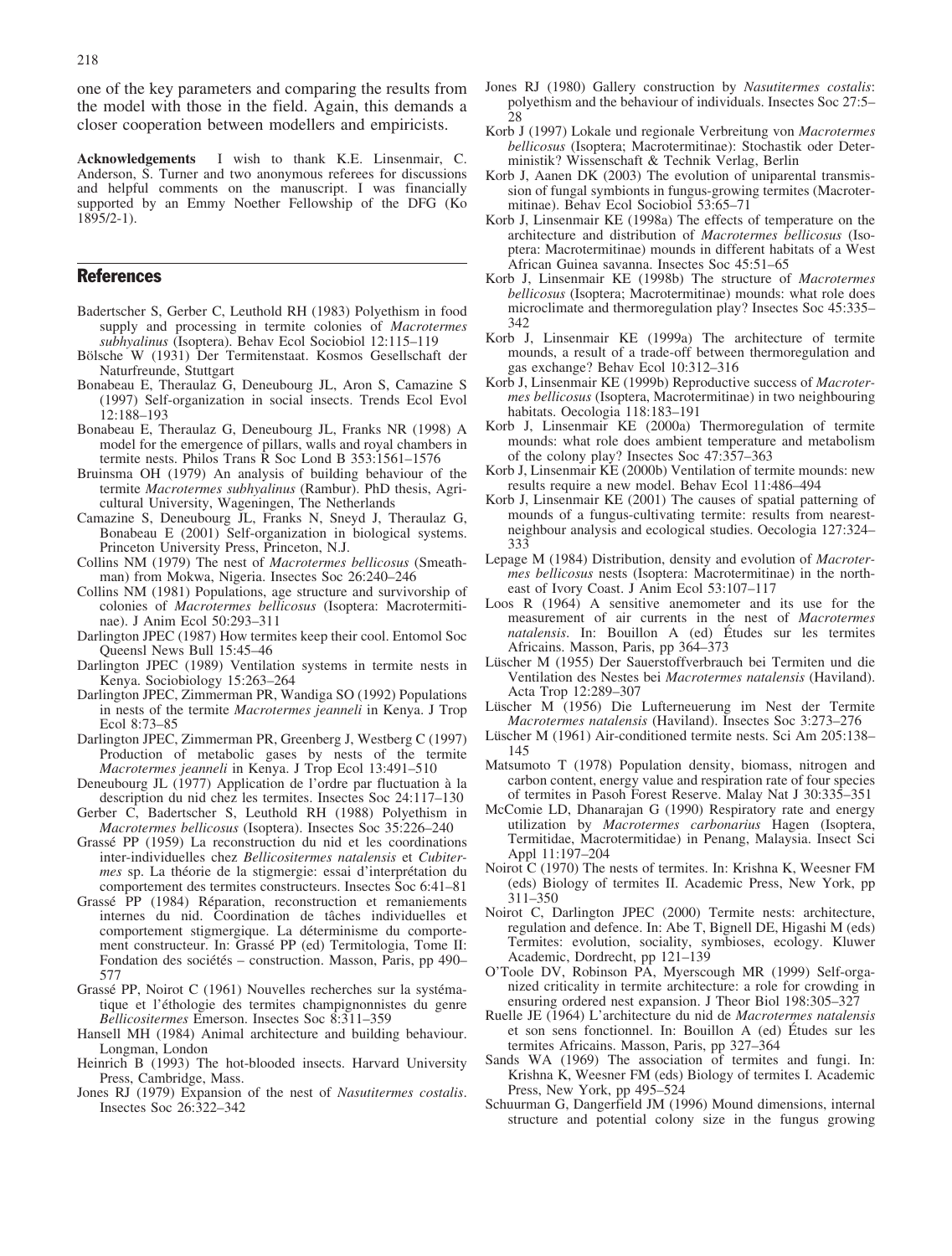one of the key parameters and comparing the results from the model with those in the field. Again, this demands a closer cooperation between modellers and empiricists.

Acknowledgements I wish to thank K.E. Linsenmair, C. Anderson, S. Turner and two anonymous referees for discussions and helpful comments on the manuscript. I was financially supported by an Emmy Noether Fellowship of the DFG (Ko  $1895/2-1$ ).

#### References

- Badertscher S, Gerber C, Leuthold RH (1983) Polyethism in food supply and processing in termite colonies of Macrotermes subhyalinus (Isoptera). Behav Ecol Sociobiol 12:115–119
- Bölsche W (1931) Der Termitenstaat. Kosmos Gesellschaft der Naturfreunde, Stuttgart
- Bonabeau E, Theraulaz G, Deneubourg JL, Aron S, Camazine S (1997) Self-organization in social insects. Trends Ecol Evol 12:188–193
- Bonabeau E, Theraulaz G, Deneubourg JL, Franks NR (1998) A model for the emergence of pillars, walls and royal chambers in termite nests. Philos Trans R Soc Lond B 353:1561–1576
- Bruinsma OH (1979) An analysis of building behaviour of the termite Macrotermes subhyalinus (Rambur). PhD thesis, Agricultural University, Wageningen, The Netherlands
- Camazine S, Deneubourg JL, Franks N, Sneyd J, Theraulaz G, Bonabeau E (2001) Self-organization in biological systems. Princeton University Press, Princeton, N.J.
- Collins NM (1979) The nest of Macrotermes bellicosus (Smeathman) from Mokwa, Nigeria. Insectes Soc 26:240–246
- Collins NM (1981) Populations, age structure and survivorship of colonies of Macrotermes bellicosus (Isoptera: Macrotermitinae). J Anim Ecol 50:293–311
- Darlington JPEC (1987) How termites keep their cool. Entomol Soc Queensl News Bull 15:45–46
- Darlington JPEC (1989) Ventilation systems in termite nests in Kenya. Sociobiology 15:263–264
- Darlington JPEC, Zimmerman PR, Wandiga SO (1992) Populations in nests of the termite Macrotermes jeanneli in Kenya. J Trop Ecol 8:73–85
- Darlington JPEC, Zimmerman PR, Greenberg J, Westberg C (1997) Production of metabolic gases by nests of the termite Macrotermes jeanneli in Kenya. J Trop Ecol 13:491–510
- Deneubourg JL (1977) Application de l'ordre par fluctuation à la description du nid chez les termites. Insectes Soc 24:117–130
- Gerber C, Badertscher S, Leuthold RH (1988) Polyethism in Macrotermes bellicosus (Isoptera). Insectes Soc 35:226–240
- Grassé PP (1959) La reconstruction du nid et les coordinations inter-individuelles chez Bellicositermes natalensis et Cubitermes sp. La théorie de la stigmergie: essai d'interprétation du comportement des termites constructeurs. Insectes Soc 6:41–81
- Grassé PP (1984) Réparation, reconstruction et remaniements internes du nid. Coordination de tâches individuelles et comportement stigmergique. La déterminisme du comportement constructeur. In: Grassé PP (ed) Termitologia, Tome II: Fondation des sociétés – construction. Masson, Paris, pp 490– 577
- Grassé PP, Noirot C (1961) Nouvelles recherches sur la systématique et l'éthologie des termites champignonnistes du genre Bellicositermes Emerson. Insectes Soc 8:311–359
- Hansell MH (1984) Animal architecture and building behaviour. Longman, London
- Heinrich B (1993) The hot-blooded insects. Harvard University Press, Cambridge, Mass.
- Jones RJ (1979) Expansion of the nest of Nasutitermes costalis. Insectes Soc 26:322–342
- Jones RJ (1980) Gallery construction by Nasutitermes costalis: polyethism and the behaviour of individuals. Insectes Soc 27:5– 28
- Korb J (1997) Lokale und regionale Verbreitung von Macrotermes bellicosus (Isoptera; Macrotermitinae): Stochastik oder Deterministik? Wissenschaft & Technik Verlag, Berlin
- Korb J, Aanen DK (2003) The evolution of uniparental transmission of fungal symbionts in fungus-growing termites (Macrotermitinae). Behav Ecol Sociobiol 53:65–71
- Korb J, Linsenmair KE (1998a) The effects of temperature on the architecture and distribution of Macrotermes bellicosus (Isoptera: Macrotermitinae) mounds in different habitats of a West African Guinea savanna. Insectes Soc 45:51–65
- Korb J, Linsenmair KE (1998b) The structure of Macrotermes bellicosus (Isoptera; Macrotermitinae) mounds: what role does microclimate and thermoregulation play? Insectes Soc 45:335– 342
- Korb J, Linsenmair KE (1999a) The architecture of termite mounds, a result of a trade-off between thermoregulation and gas exchange? Behav Ecol 10:312–316
- Korb J, Linsenmair KE (1999b) Reproductive success of *Macroter*mes bellicosus (Isoptera, Macrotermitinae) in two neighbouring habitats. Oecologia 118:183–191
- Korb J, Linsenmair KE (2000a) Thermoregulation of termite mounds: what role does ambient temperature and metabolism of the colony play? Insectes Soc 47:357–363
- Korb J, Linsenmair KE (2000b) Ventilation of termite mounds: new results require a new model. Behav Ecol 11:486–494
- Korb J, Linsenmair KE (2001) The causes of spatial patterning of mounds of a fungus-cultivating termite: results from nearestneighbour analysis and ecological studies. Oecologia 127:324– 333
- Lepage M (1984) Distribution, density and evolution of Macrotermes bellicosus nests (Isoptera: Macrotermitinae) in the northeast of Ivory Coast. J Anim Ecol 53:107–117
- Loos R (1964) A sensitive anemometer and its use for the measurement of air currents in the nest of Macrotermes natalensis. In: Bouillon  $A$  (ed) Études sur les termites Africains. Masson, Paris, pp 364–373
- Lüscher M (1955) Der Sauerstoffverbrauch bei Termiten und die Ventilation des Nestes bei Macrotermes natalensis (Haviland). Acta Trop 12:289–307
- Lüscher M (1956) Die Lufterneuerung im Nest der Termite Macrotermes natalensis (Haviland). Insectes Soc 3:273–276
- Lüscher M (1961) Air-conditioned termite nests. Sci Am 205:138– 145
- Matsumoto T (1978) Population density, biomass, nitrogen and carbon content, energy value and respiration rate of four species of termites in Pasoh Forest Reserve. Malay Nat J 30:335–351
- McComie LD, Dhanarajan G (1990) Respiratory rate and energy utilization by Macrotermes carbonarius Hagen (Isoptera, Termitidae, Macrotermitidae) in Penang, Malaysia. Insect Sci Appl 11:197–204
- Noirot C (1970) The nests of termites. In: Krishna K, Weesner FM (eds) Biology of termites II. Academic Press, New York, pp 311–350
- Noirot C, Darlington JPEC (2000) Termite nests: architecture, regulation and defence. In: Abe T, Bignell DE, Higashi M (eds) Termites: evolution, sociality, symbioses, ecology. Kluwer Academic, Dordrecht, pp 121–139
- O'Toole DV, Robinson PA, Myerscough MR (1999) Self-organized criticality in termite architecture: a role for crowding in ensuring ordered nest expansion. J Theor Biol 198:305–327
- Ruelle JE (1964) L'architecture du nid de Macrotermes natalensis et son sens fonctionnel. In: Bouillon A (ed) Etudes sur les termites Africains. Masson, Paris, pp 327–364
- Sands WA (1969) The association of termites and fungi. In: Krishna K, Weesner FM (eds) Biology of termites I. Academic Press, New York, pp 495–524
- Schuurman G, Dangerfield JM (1996) Mound dimensions, internal structure and potential colony size in the fungus growing